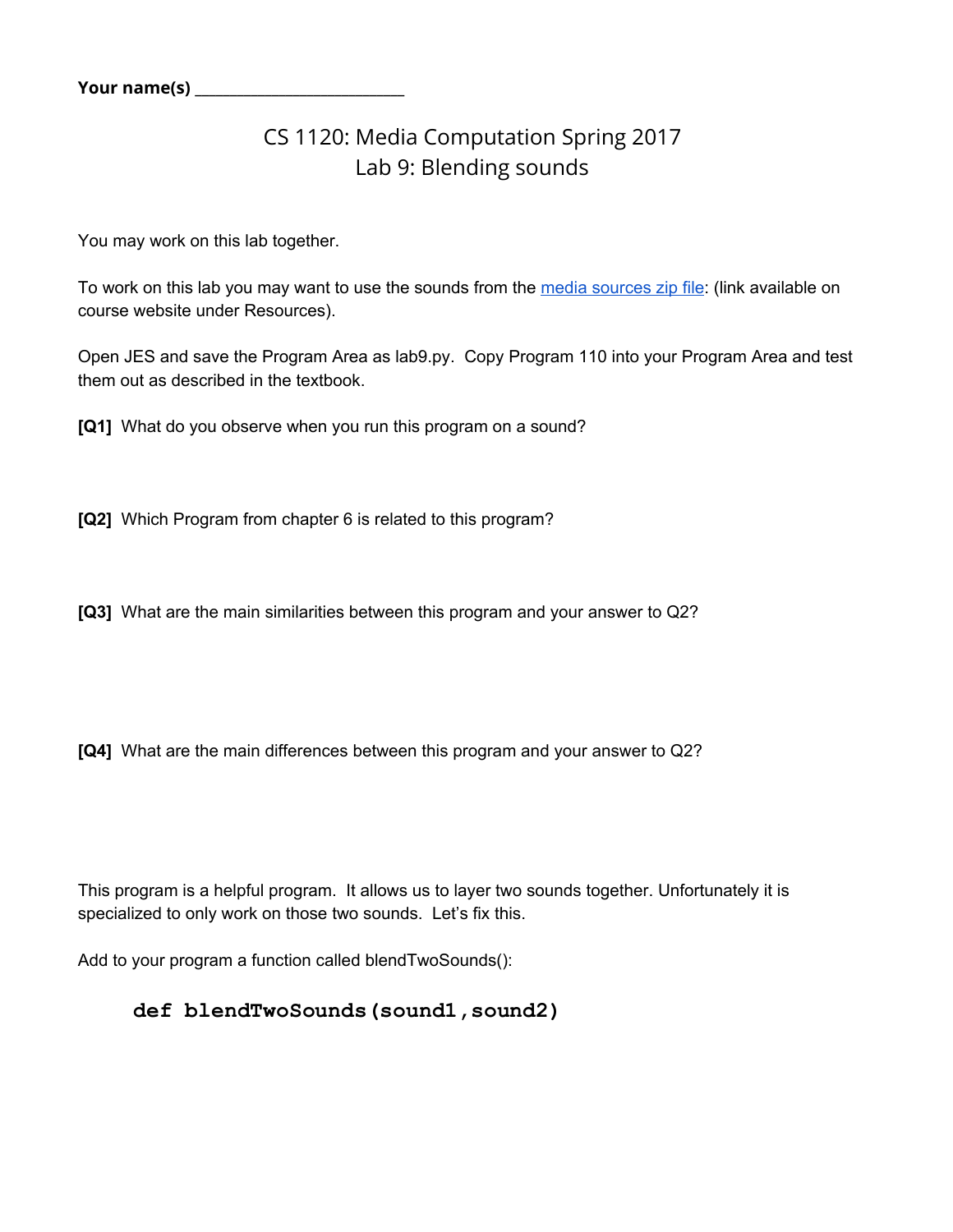## CS 1120: Media Computation Spring 2017 Lab 9: Blending sounds

You may work on this lab together.

To work on this lab you may want to use the sounds from the media [sources](http://coweb.cc.gatech.edu/mediaComp-teach/uploads/1/mediasources-4ed.zip) zip file: (link available on course website under Resources).

Open JES and save the Program Area as lab9.py. Copy Program 110 into your Program Area and test them out as described in the textbook.

**[Q1]** What do you observe when you run this program on a sound?

**[Q2]** Which Program from chapter 6 is related to this program?

**[Q3]** What are the main similarities between this program and your answer to Q2?

**[Q4]** What are the main differences between this program and your answer to Q2?

This program is a helpful program. It allows us to layer two sounds together. Unfortunately it is specialized to only work on those two sounds. Let's fix this.

Add to your program a function called blendTwoSounds():

## **def blendTwoSounds(sound1,sound2)**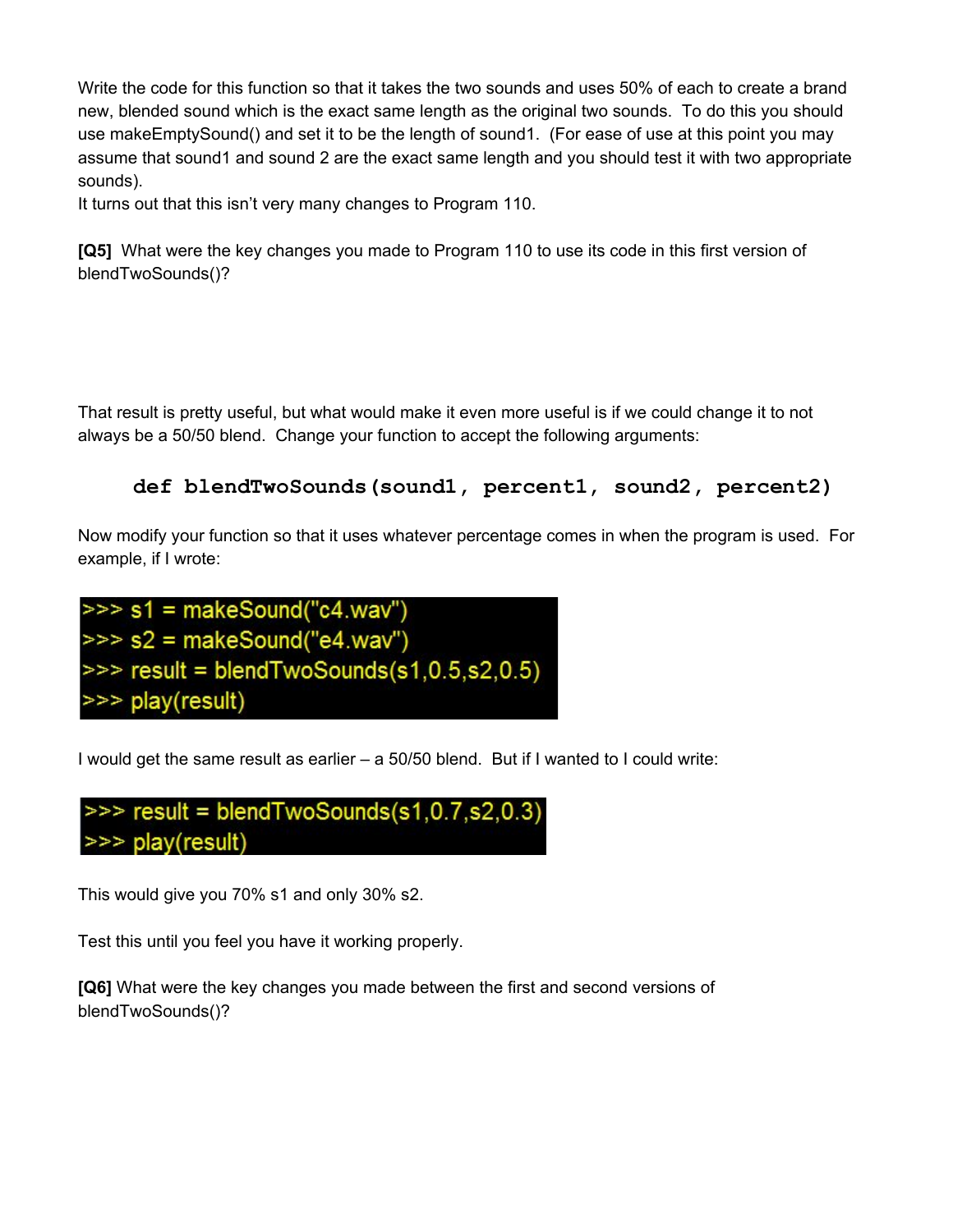Write the code for this function so that it takes the two sounds and uses 50% of each to create a brand new, blended sound which is the exact same length as the original two sounds. To do this you should use makeEmptySound() and set it to be the length of sound1. (For ease of use at this point you may assume that sound1 and sound 2 are the exact same length and you should test it with two appropriate sounds).

It turns out that this isn't very many changes to Program 110.

**[Q5]** What were the key changes you made to Program 110 to use its code in this first version of blendTwoSounds()?

That result is pretty useful, but what would make it even more useful is if we could change it to not always be a 50/50 blend. Change your function to accept the following arguments:

```
def blendTwoSounds(sound1, percent1, sound2, percent2)
```
Now modify your function so that it uses whatever percentage comes in when the program is used. For example, if I wrote:

```
\Rightarrow s1 = makeSound("c4.wav")
\Rightarrow s2 = makeSound("e4.wav")
\gg result = blendTwoSounds(s1,0.5,s2,0.5)
>>> play(result)
```
I would get the same result as earlier – a 50/50 blend. But if I wanted to I could write:

 $\gg$  result = blendTwoSounds(s1,0.7,s2,0.3) >>> play(result)

This would give you 70% s1 and only 30% s2.

Test this until you feel you have it working properly.

**[Q6]** What were the key changes you made between the first and second versions of blendTwoSounds()?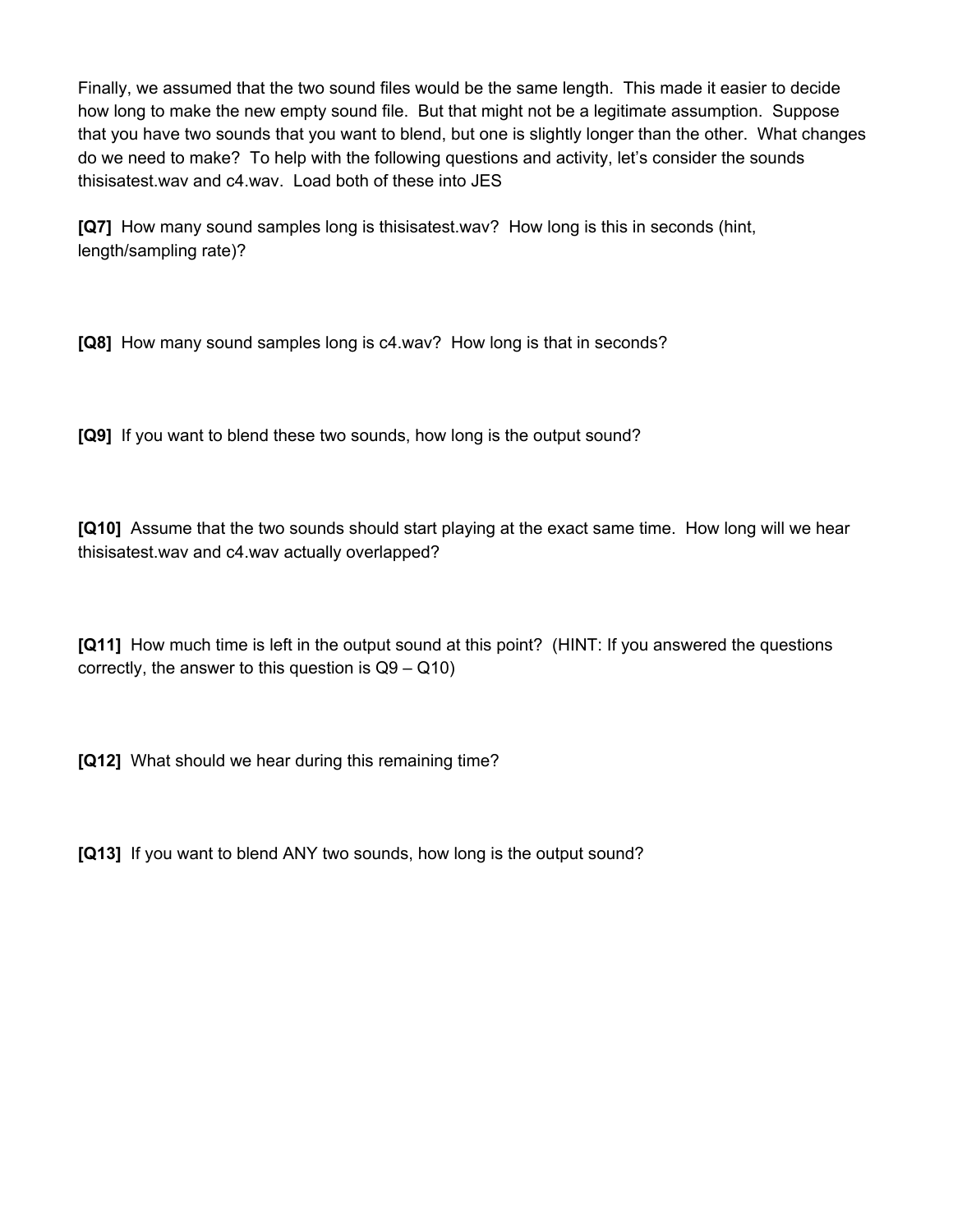Finally, we assumed that the two sound files would be the same length. This made it easier to decide how long to make the new empty sound file. But that might not be a legitimate assumption. Suppose that you have two sounds that you want to blend, but one is slightly longer than the other. What changes do we need to make? To help with the following questions and activity, let's consider the sounds thisisatest.wav and c4.wav. Load both of these into JES

**[Q7]** How many sound samples long is thisisatest.wav? How long is this in seconds (hint, length/sampling rate)?

**[Q8]** How many sound samples long is c4.wav? How long is that in seconds?

**[Q9]** If you want to blend these two sounds, how long is the output sound?

**[Q10]** Assume that the two sounds should start playing at the exact same time. How long will we hear thisisatest.wav and c4.wav actually overlapped?

**[Q11]** How much time is left in the output sound at this point? (HINT: If you answered the questions correctly, the answer to this question is  $Q9 - Q10$ )

**[Q12]** What should we hear during this remaining time?

**[Q13]** If you want to blend ANY two sounds, how long is the output sound?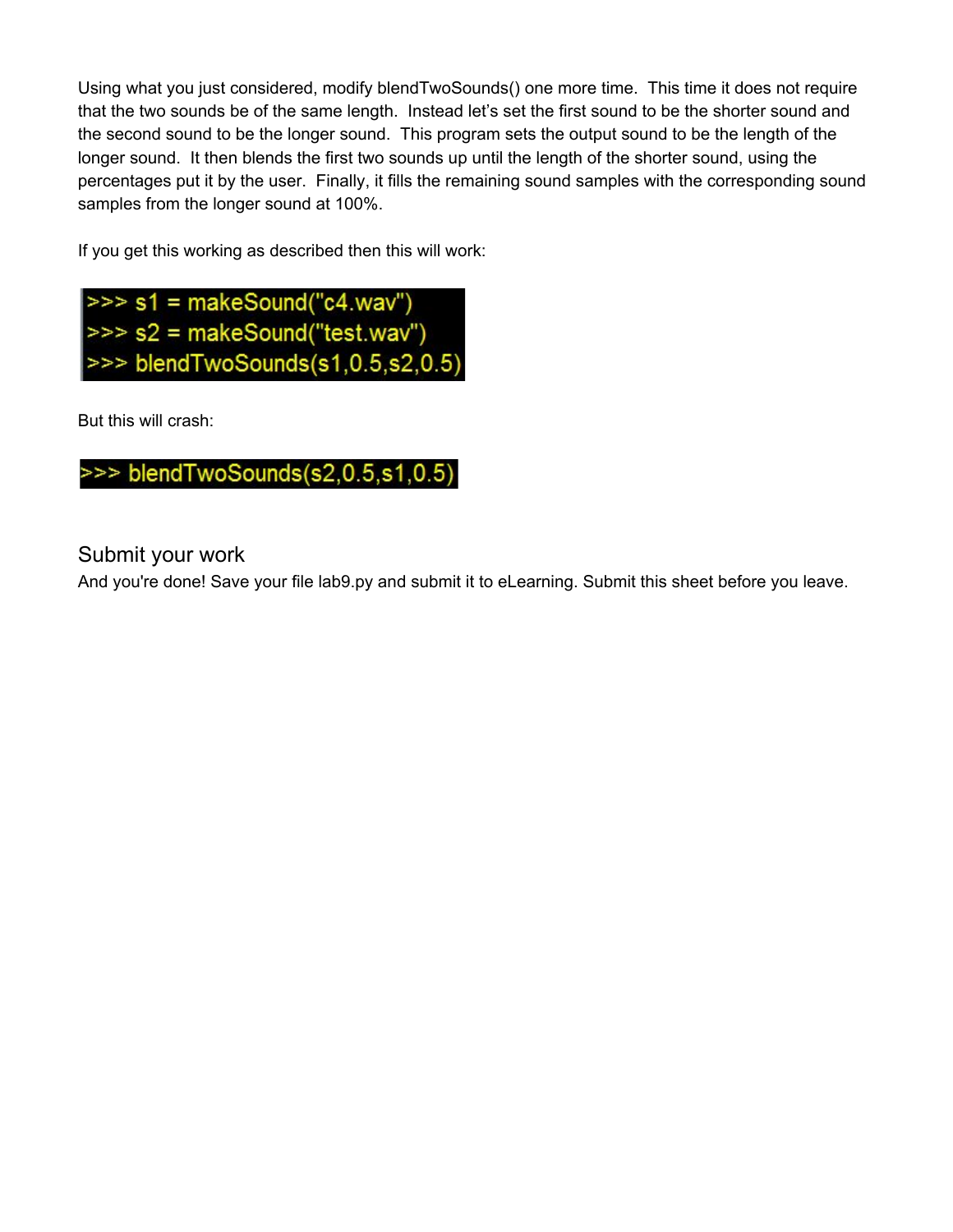Using what you just considered, modify blendTwoSounds() one more time. This time it does not require that the two sounds be of the same length. Instead let's set the first sound to be the shorter sound and the second sound to be the longer sound. This program sets the output sound to be the length of the longer sound. It then blends the first two sounds up until the length of the shorter sound, using the percentages put it by the user. Finally, it fills the remaining sound samples with the corresponding sound samples from the longer sound at 100%.

If you get this working as described then this will work:



But this will crash:



## Submit your work

And you're done! Save your file lab9.py and submit it to eLearning. Submit this sheet before you leave.